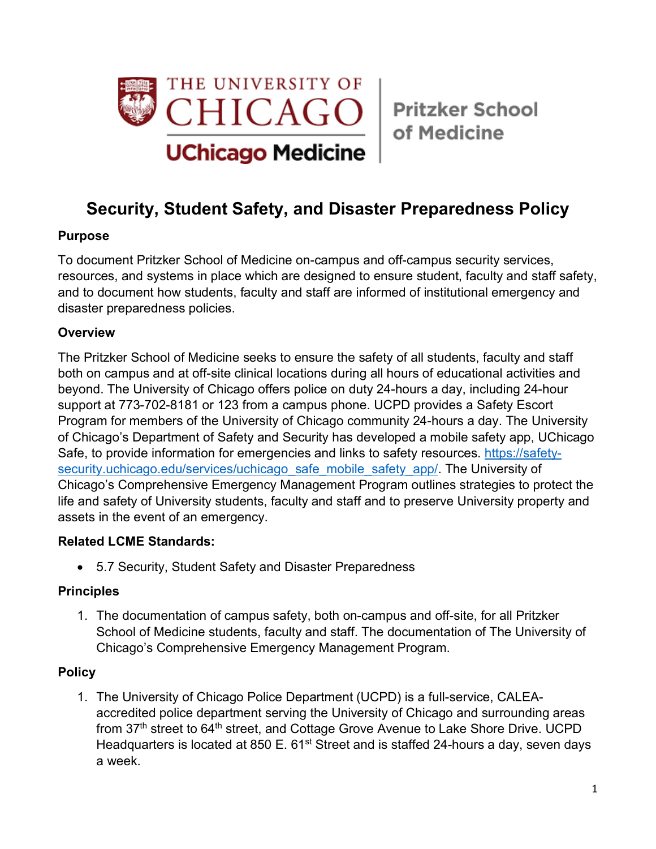

of Medicine

# **Security, Student Safety, and Disaster Preparedness Policy**

# **Purpose**

To document Pritzker School of Medicine on-campus and off-campus security services, resources, and systems in place which are designed to ensure student, faculty and staff safety, and to document how students, faculty and staff are informed of institutional emergency and disaster preparedness policies.

## **Overview**

The Pritzker School of Medicine seeks to ensure the safety of all students, faculty and staff both on campus and at off-site clinical locations during all hours of educational activities and beyond. The University of Chicago offers police on duty 24-hours a day, including 24-hour support at 773-702-8181 or 123 from a campus phone. UCPD provides a Safety Escort Program for members of the University of Chicago community 24-hours a day. The University of Chicago's Department of Safety and Security has developed a mobile safety app, UChicago Safe, to provide information for emergencies and links to safety resources. https://safetysecurity.uchicago.edu/services/uchicago\_safe\_mobile\_safety\_app/. The University of Chicago's Comprehensive Emergency Management Program outlines strategies to protect the life and safety of University students, faculty and staff and to preserve University property and assets in the event of an emergency.

#### **Related LCME Standards:**

• 5.7 Security, Student Safety and Disaster Preparedness

# **Principles**

1. The documentation of campus safety, both on-campus and off-site, for all Pritzker School of Medicine students, faculty and staff. The documentation of The University of Chicago's Comprehensive Emergency Management Program.

# **Policy**

1. The University of Chicago Police Department (UCPD) is a full-service, CALEAaccredited police department serving the University of Chicago and surrounding areas from 37<sup>th</sup> street to 64<sup>th</sup> street, and Cottage Grove Avenue to Lake Shore Drive. UCPD Headquarters is located at 850 E. 61<sup>st</sup> Street and is staffed 24-hours a day, seven days a week.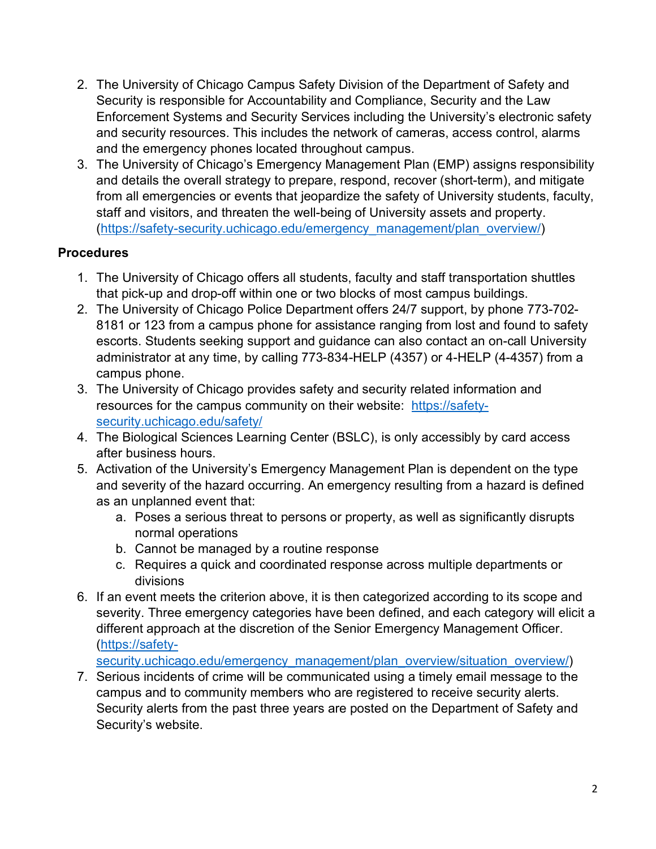- 2. The University of Chicago Campus Safety Division of the Department of Safety and Security is responsible for Accountability and Compliance, Security and the Law Enforcement Systems and Security Services including the University's electronic safety and security resources. This includes the network of cameras, access control, alarms and the emergency phones located throughout campus.
- 3. The University of Chicago's Emergency Management Plan (EMP) assigns responsibility and details the overall strategy to prepare, respond, recover (short-term), and mitigate from all emergencies or events that jeopardize the safety of University students, faculty, staff and visitors, and threaten the well-being of University assets and property. (https://safety-security.uchicago.edu/emergency\_management/plan\_overview/)

## **Procedures**

- 1. The University of Chicago offers all students, faculty and staff transportation shuttles that pick-up and drop-off within one or two blocks of most campus buildings.
- 2. The University of Chicago Police Department offers 24/7 support, by phone 773-702- 8181 or 123 from a campus phone for assistance ranging from lost and found to safety escorts. Students seeking support and guidance can also contact an on-call University administrator at any time, by calling 773-834-HELP (4357) or 4-HELP (4-4357) from a campus phone.
- 3. The University of Chicago provides safety and security related information and resources for the campus community on their website: https://safetysecurity.uchicago.edu/safety/
- 4. The Biological Sciences Learning Center (BSLC), is only accessibly by card access after business hours.
- 5. Activation of the University's Emergency Management Plan is dependent on the type and severity of the hazard occurring. An emergency resulting from a hazard is defined as an unplanned event that:
	- a. Poses a serious threat to persons or property, as well as significantly disrupts normal operations
	- b. Cannot be managed by a routine response
	- c. Requires a quick and coordinated response across multiple departments or divisions
- 6. If an event meets the criterion above, it is then categorized according to its scope and severity. Three emergency categories have been defined, and each category will elicit a different approach at the discretion of the Senior Emergency Management Officer. (https://safety-

security.uchicago.edu/emergency\_management/plan\_overview/situation\_overview/)

7. Serious incidents of crime will be communicated using a timely email message to the campus and to community members who are registered to receive security alerts. Security alerts from the past three years are posted on the Department of Safety and Security's website.